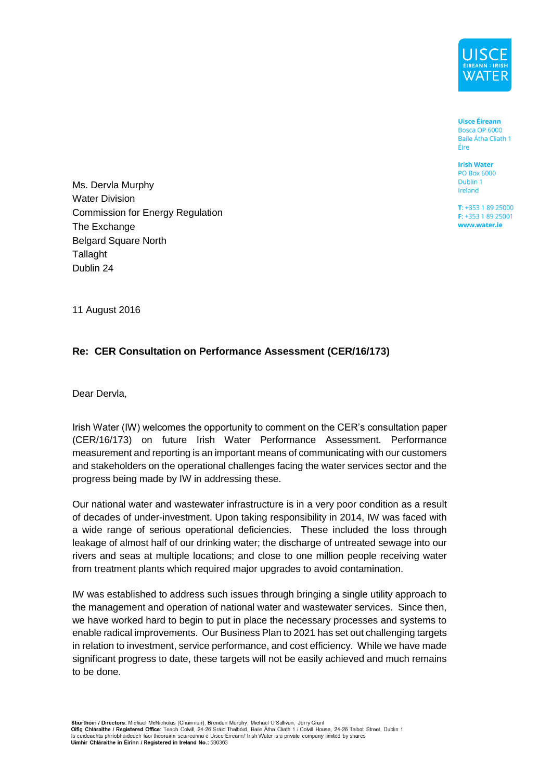

**Uisce Éireann** Bosca OP 6000 Baile Átha Cliath 1 Éire

**Irish Water PO Box 6000** Dublin<sub>1</sub> Ireland

 $T: +35318925000$ F: +353 1 89 25001 www.water.ie

Ms. Dervla Murphy Water Division Commission for Energy Regulation The Exchange Belgard Square North **Tallaght** Dublin 24

11 August 2016

## **Re: CER Consultation on Performance Assessment (CER/16/173)**

Dear Dervla,

Irish Water (IW) welcomes the opportunity to comment on the CER's consultation paper (CER/16/173) on future Irish Water Performance Assessment. Performance measurement and reporting is an important means of communicating with our customers and stakeholders on the operational challenges facing the water services sector and the progress being made by IW in addressing these.

Our national water and wastewater infrastructure is in a very poor condition as a result of decades of under-investment. Upon taking responsibility in 2014, IW was faced with a wide range of serious operational deficiencies. These included the loss through leakage of almost half of our drinking water; the discharge of untreated sewage into our rivers and seas at multiple locations; and close to one million people receiving water from treatment plants which required major upgrades to avoid contamination.

IW was established to address such issues through bringing a single utility approach to the management and operation of national water and wastewater services. Since then, we have worked hard to begin to put in place the necessary processes and systems to enable radical improvements. Our Business Plan to 2021 has set out challenging targets in relation to investment, service performance, and cost efficiency. While we have made significant progress to date, these targets will not be easily achieved and much remains to be done.